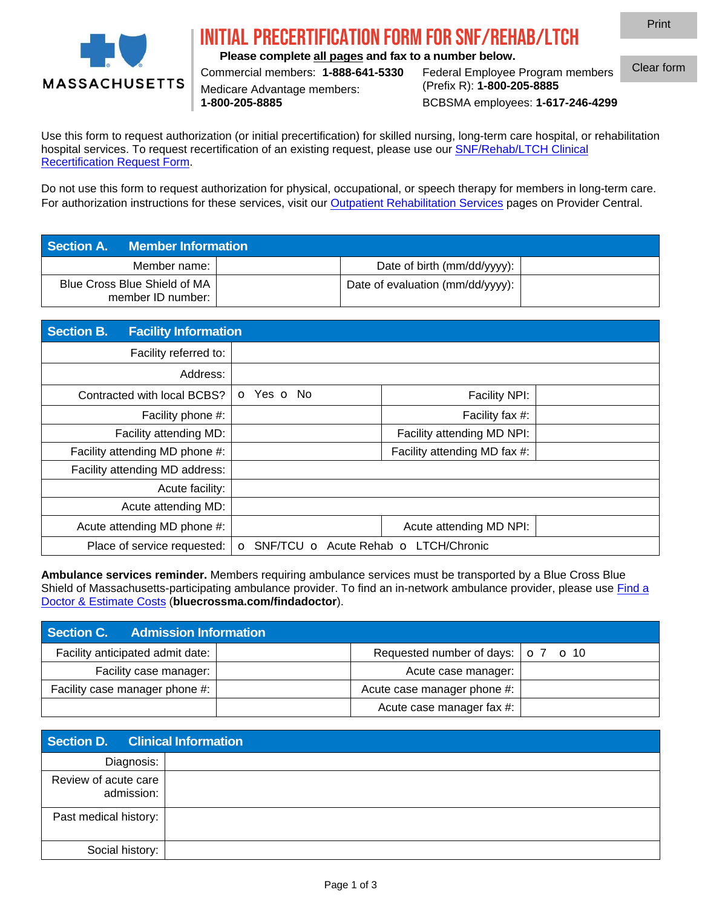

## IAL PRECERTIFICATION FORM FOR SNF/REHAB/

**Please complete all pages and fax to a number below.**

Medicare Advantage members:

Commercial members: **1-888-641-5330** Federal Employee Program members **1-800-205-8885** BCBSMA employees: **1-617-246-4299** Clear form

Print

Use this form to request authorization (or initial precertification) for skilled nursing, long-term care hospital, or rehabilitation hospital services. To request recertification of an existing request, please use our [SNF/Rehab/LTCH Clinical](https://provider.bluecrossma.com/ProviderHome/wcm/connect/c1bbf3fb-511c-4dae-bfdf-3921b814fb36/MPC_022519-2J_Recert_SNF_Rehab_LTCH.pdf?MOD=AJPERES&CONVERT_TO=URL&CACHEID=ROOTWORKSPACE-c1bbf3fb-511c-4dae-bfdf-3921b814fb36-mALQJIA) [Recertification Request Form.](https://provider.bluecrossma.com/ProviderHome/wcm/connect/c1bbf3fb-511c-4dae-bfdf-3921b814fb36/MPC_022519-2J_Recert_SNF_Rehab_LTCH.pdf?MOD=AJPERES&CONVERT_TO=URL&CACHEID=ROOTWORKSPACE-c1bbf3fb-511c-4dae-bfdf-3921b814fb36-mALQJIA)

Do not use this form to request authorization for physical, occupational, or speech therapy for members in long-term care. For authorization instructions for these services, [visit o](http://www.bluecrossma.com/provider)ur Outpatient Rehabilitation Services pages on Provider Central.

| <b>Section A. Member Information</b>              |                                  |  |
|---------------------------------------------------|----------------------------------|--|
| Member name:                                      | Date of birth (mm/dd/yyyy):      |  |
| Blue Cross Blue Shield of MA<br>member ID number: | Date of evaluation (mm/dd/yyyy): |  |

| <b>Section B.</b><br><b>Facility Information</b> |                                    |                              |  |
|--------------------------------------------------|------------------------------------|------------------------------|--|
| Facility referred to:                            |                                    |                              |  |
| Address:                                         |                                    |                              |  |
| Contracted with local BCBS?                      | $\circ$ Yes $\circ$ No             | Facility NPI:                |  |
| Facility phone #:                                |                                    | Facility fax #:              |  |
| Facility attending MD:                           |                                    | Facility attending MD NPI:   |  |
| Facility attending MD phone #:                   |                                    | Facility attending MD fax #: |  |
| Facility attending MD address:                   |                                    |                              |  |
| Acute facility:                                  |                                    |                              |  |
| Acute attending MD:                              |                                    |                              |  |
| Acute attending MD phone #:                      |                                    | Acute attending MD NPI:      |  |
| Place of service requested:                      | SNF/TCU<br>$\bigcirc$<br>$\bigcap$ | Acute Rehab ⊙ LTCH/Chronic   |  |

**Ambulance services reminder.** Members requiring ambulance services must be transported by a Blue Cross Blue Shield of Massachusetts-participating ambulance provider. To find an in-network ambulance provider, please use [Find a](https://myfindadoctor.bluecrossma.com/) Doctor & Estimate Costs (**[bluecrossma.com/findadoctor](https://myfindadoctor.bluecrossma.com/)**).

| Section C. Admission Information |                                                                |  |
|----------------------------------|----------------------------------------------------------------|--|
| Facility anticipated admit date: | Requested number of days: $\vert \circ 7 \vert \circ 10 \vert$ |  |
| Facility case manager:           | Acute case manager:                                            |  |
| Facility case manager phone #:   | Acute case manager phone #:                                    |  |
|                                  | Acute case manager fax #:                                      |  |

| <b>Section D. Clinical Information</b> |  |
|----------------------------------------|--|
| Diagnosis:                             |  |
| Review of acute care<br>admission:     |  |
| Past medical history:                  |  |
| Social history:                        |  |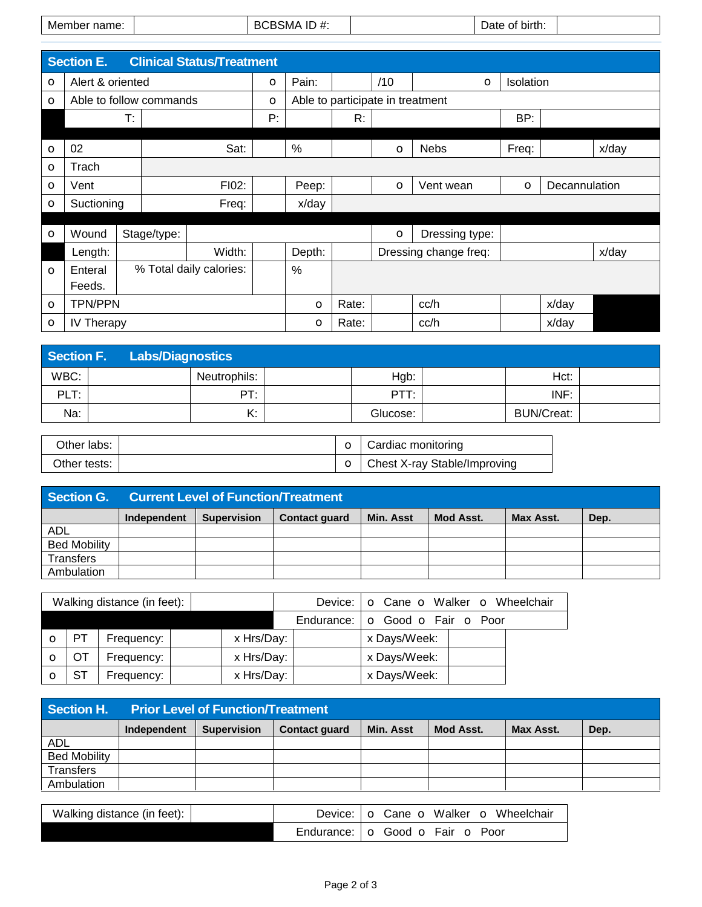|  | Mei<br>name<br>10 H |  | $\mathbf{r}$<br>∕ו∨וכ<br>┄<br>$\boldsymbol{\pi}.$ |  | birth.<br>$\sim$ |  |
|--|---------------------|--|---------------------------------------------------|--|------------------|--|
|--|---------------------|--|---------------------------------------------------|--|------------------|--|

|         | <b>Section E.</b>           |    |                | <b>Clinical Status/Treatment</b> |         |               |                                  |         |                       |         |               |       |
|---------|-----------------------------|----|----------------|----------------------------------|---------|---------------|----------------------------------|---------|-----------------------|---------|---------------|-------|
| $\circ$ | Alert & oriented<br>$\circ$ |    |                |                                  |         | Pain:         |                                  | /10     | Isolation<br>$\circ$  |         |               |       |
| $\circ$ | Able to follow commands     |    |                |                                  | $\circ$ |               | Able to participate in treatment |         |                       |         |               |       |
|         |                             | T: |                |                                  | P:      |               | R:                               |         |                       | BP:     |               |       |
|         |                             |    |                |                                  |         |               |                                  |         |                       |         |               |       |
| $\circ$ | 02                          |    |                | Sat:                             |         | $\%$          |                                  | $\circ$ | <b>Nebs</b>           | Freq:   |               | x/day |
| $\circ$ | Trach                       |    |                |                                  |         |               |                                  |         |                       |         |               |       |
| $\circ$ | Vent                        |    | FI02:          |                                  |         | Peep:         |                                  | $\circ$ | Vent wean             | $\circ$ | Decannulation |       |
| $\circ$ | Suctioning                  |    | x/day<br>Freq: |                                  |         |               |                                  |         |                       |         |               |       |
|         |                             |    |                |                                  |         |               |                                  |         |                       |         |               |       |
| $\circ$ | Wound                       |    | Stage/type:    |                                  |         |               |                                  | $\circ$ | Dressing type:        |         |               |       |
|         | Length:                     |    |                | Width:                           |         | Depth:        |                                  |         | Dressing change freq: |         |               | x/day |
| $\circ$ | Enteral                     |    |                | % Total daily calories:          |         | $\frac{0}{0}$ |                                  |         |                       |         |               |       |
|         | Feeds.                      |    |                |                                  |         |               |                                  |         |                       |         |               |       |
| $\circ$ | <b>TPN/PPN</b>              |    |                | $\circ$                          | Rate:   |               | cc/h                             |         | x/day                 |         |               |       |
| $\circ$ | IV Therapy                  |    |                |                                  |         | $\circ$       | Rate:                            |         | cc/h                  |         | x/day         |       |

| Section F. | <b>Labs/Diagnostics</b> |              |          |                   |  |
|------------|-------------------------|--------------|----------|-------------------|--|
| WBC:       |                         | Neutrophils: | Hgb:     | Hct:              |  |
| PLT:       |                         | PT:          | PTT:     | INF:              |  |
| Na:        |                         | Κ:           | Glucose: | <b>BUN/Creat:</b> |  |

| Other labs:    |  | $\circ$   Cardiac monitoring   |
|----------------|--|--------------------------------|
| Other tests: I |  | ○ Chest X-ray Stable/Improving |

| Section G.          | <b>Current Level of Function/Treatment</b> |                    |                      |                  |           |           |      |
|---------------------|--------------------------------------------|--------------------|----------------------|------------------|-----------|-----------|------|
|                     | Independent                                | <b>Supervision</b> | <b>Contact quard</b> | <b>Min. Asst</b> | Mod Asst. | Max Asst. | Dep. |
| <b>ADL</b>          |                                            |                    |                      |                  |           |           |      |
| <b>Bed Mobility</b> |                                            |                    |                      |                  |           |           |      |
| Transfers           |                                            |                    |                      |                  |           |           |      |
| Ambulation          |                                            |                    |                      |                  |           |           |      |

|            |           | Walking distance (in feet): |            | Device: I  | $\circ$ Cane $\circ$ Walker $\circ$ Wheelchair |  |
|------------|-----------|-----------------------------|------------|------------|------------------------------------------------|--|
|            |           |                             |            | Endurance: | ○ Good ○ Fair ○ Poor                           |  |
| $\left($ ) | <b>PT</b> | Frequency:                  | x Hrs/Day: |            | x Days/Week:                                   |  |
|            | <b>OT</b> | Frequency:                  | x Hrs/Day: |            | x Days/Week:                                   |  |
|            | <b>ST</b> | Frequency:                  | x Hrs/Day: |            | x Days/Week:                                   |  |

| Section H.          | <b>Prior Level of Function/Treatment</b> |                    |                      |                  |           |           |      |
|---------------------|------------------------------------------|--------------------|----------------------|------------------|-----------|-----------|------|
|                     | Independent                              | <b>Supervision</b> | <b>Contact quard</b> | <b>Min. Asst</b> | Mod Asst. | Max Asst. | Dep. |
| <b>ADL</b>          |                                          |                    |                      |                  |           |           |      |
| <b>Bed Mobility</b> |                                          |                    |                      |                  |           |           |      |
| <b>Transfers</b>    |                                          |                    |                      |                  |           |           |      |
| Ambulation          |                                          |                    |                      |                  |           |           |      |

| Walking distance (in feet): | Device: $\log$ Cane $\log$ Walker $\log$ Wheelchair |
|-----------------------------|-----------------------------------------------------|
|                             | Endurance: $\circ$ Good $\circ$ Fair $\circ$ Poor   |